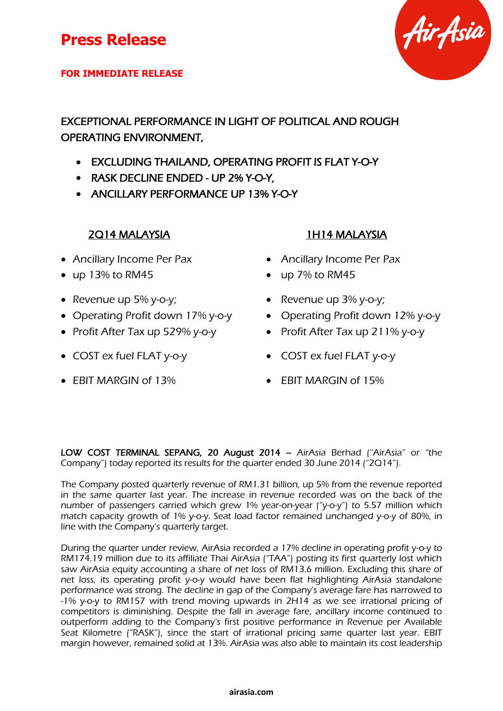### **FOR IMMEDIATE RELEASE**

EXCEPTIONAL PERFORMANCE IN LIGHT OF POLITICAL AND ROUGH OPERATING ENVIRONMENT,

- EXCLUDING THAILAND, OPERATING PROFIT IS FLAT Y-O-Y
- RASK DECLINE ENDED UP 2% Y-O-Y.
- ANCILLARY PERFORMANCE UP 13% Y-O-Y

- Ancillary Income Per Pax
- up 13% to RM45
- Revenue up  $5\%$  y-o-y;
- 
- Profit After Tax up 529% y-o-y
- 
- 

### 2Q14 MALAYSIA 1H14 MALAYSIA

- Ancillary Income Per Pax
- up 7% to RM45
- Revenue up  $3\%$  y-o-y;
- Operating Profit down 17% y-o-y Operating Profit down 12% y-o-y
	- Profit After Tax up 211% y-o-y
- COST ex fuel FLAT y-o-y **•** COST ex fuel FLAT y-o-y
- EBIT MARGIN of 13%  **EBIT MARGIN of 15%**

LOW COST TERMINAL SEPANG, 20 August 2014 – AirAsia Berhad ("AirAsia" or "the Company") today reported its results for the quarter ended 30 June 2014 ("2Q14").

The Company posted quarterly revenue of RM1.31 billion, up 5% from the revenue reported in the same quarter last year. The increase in revenue recorded was on the back of the number of passengers carried which grew 1% year-on-year ("y-o-y") to 5.57 million which match capacity growth of 1% y-o-y. Seat load factor remained unchanged y-o-y of 80%, in line with the Company's quarterly target.

During the quarter under review, AirAsia recorded a 17% decline in operating profit y-o-y to RM174.19 million due to its affiliate Thai AirAsia ("TAA") posting its first quarterly lost which saw AirAsia equity accounting a share of net loss of RM13.6 million. Excluding this share of net loss, its operating profit y-o-y would have been flat highlighting AirAsia standalone performance was strong. The decline in gap of the Company's average fare has narrowed to -1% y-o-y to RM157 with trend moving upwards in 2H14 as we see irrational pricing of competitors is diminishing. Despite the fall in average fare, ancillary income continued to outperform adding to the Company's first positive performance in Revenue per Available Seat Kilometre ("RASK"), since the start of irrational pricing same quarter last year. EBIT margin however, remained solid at 13%. AirAsia was also able to maintain its cost leadership

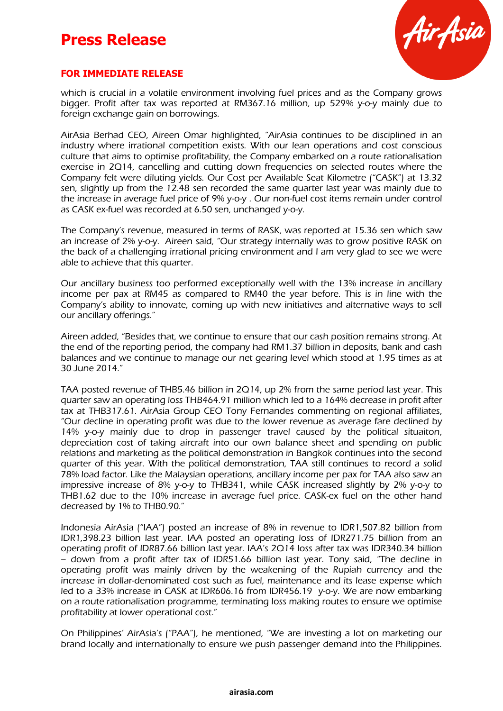

### **FOR IMMEDIATE RELEASE**

which is crucial in a volatile environment involving fuel prices and as the Company grows bigger. Profit after tax was reported at RM367.16 million, up 529% y-o-y mainly due to foreign exchange gain on borrowings.

AirAsia Berhad CEO, Aireen Omar highlighted, "AirAsia continues to be disciplined in an industry where irrational competition exists. With our lean operations and cost conscious culture that aims to optimise profitability, the Company embarked on a route rationalisation exercise in 2Q14, cancelling and cutting down frequencies on selected routes where the Company felt were diluting yields. Our Cost per Available Seat Kilometre ("CASK") at 13.32 sen, slightly up from the 12.48 sen recorded the same quarter last year was mainly due to the increase in average fuel price of 9% y-o-y . Our non-fuel cost items remain under control as CASK ex-fuel was recorded at 6.50 sen, unchanged y-o-y.

The Company's revenue, measured in terms of RASK, was reported at 15.36 sen which saw an increase of 2% y-o-y. Aireen said, "Our strategy internally was to grow positive RASK on the back of a challenging irrational pricing environment and I am very glad to see we were able to achieve that this quarter.

Our ancillary business too performed exceptionally well with the 13% increase in ancillary income per pax at RM45 as compared to RM40 the year before. This is in line with the Company's ability to innovate, coming up with new initiatives and alternative ways to sell our ancillary offerings."

Aireen added, "Besides that, we continue to ensure that our cash position remains strong. At the end of the reporting period, the company had RM1.37 billion in deposits, bank and cash balances and we continue to manage our net gearing level which stood at 1.95 times as at 30 June 2014."

TAA posted revenue of THB5.46 billion in 2Q14, up 2% from the same period last year. This quarter saw an operating loss THB464.91 million which led to a 164% decrease in profit after tax at THB317.61. AirAsia Group CEO Tony Fernandes commenting on regional affiliates, "Our decline in operating profit was due to the lower revenue as average fare declined by 14% y-o-y mainly due to drop in passenger travel caused by the political situaiton, depreciation cost of taking aircraft into our own balance sheet and spending on public relations and marketing as the political demonstration in Bangkok continues into the second quarter of this year. With the political demonstration, TAA still continues to record a solid 78% load factor. Like the Malaysian operations, ancillary income per pax for TAA also saw an impressive increase of 8% y-o-y to THB341, while CASK increased slightly by 2% y-o-y to THB1.62 due to the 10% increase in average fuel price. CASK-ex fuel on the other hand decreased by 1% to THB0.90."

Indonesia AirAsia ("IAA") posted an increase of 8% in revenue to IDR1,507.82 billion from IDR1,398.23 billion last year. IAA posted an operating loss of IDR271.75 billion from an operating profit of IDR87.66 billion last year. IAA's 2Q14 loss after tax was IDR340.34 billion – down from a profit after tax of IDR51.66 billion last year. Tony said, "The decline in operating profit was mainly driven by the weakening of the Rupiah currency and the increase in dollar-denominated cost such as fuel, maintenance and its lease expense which led to a 33% increase in CASK at IDR606.16 from IDR456.19 y-o-y. We are now embarking on a route rationalisation programme, terminating loss making routes to ensure we optimise profitability at lower operational cost."

On Philippines' AirAsia's ("PAA"), he mentioned, "We are investing a lot on marketing our brand locally and internationally to ensure we push passenger demand into the Philippines.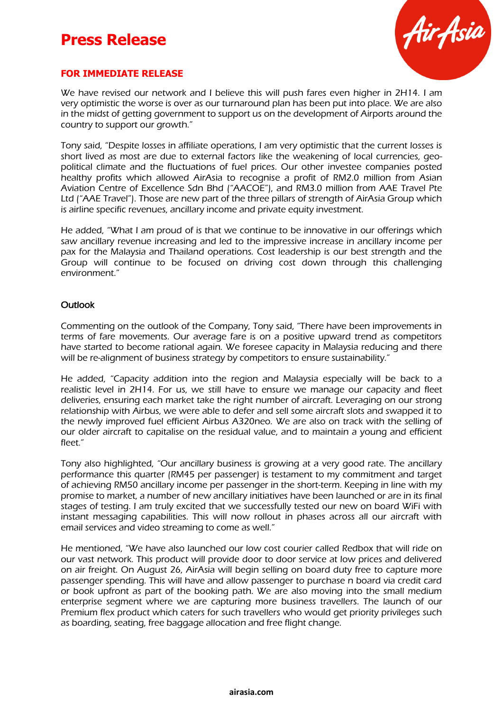

### **FOR IMMEDIATE RELEASE**

We have revised our network and I believe this will push fares even higher in 2H14. I am very optimistic the worse is over as our turnaround plan has been put into place. We are also in the midst of getting government to support us on the development of Airports around the country to support our growth."

Tony said, "Despite losses in affiliate operations, I am very optimistic that the current losses is short lived as most are due to external factors like the weakening of local currencies, geopolitical climate and the fluctuations of fuel prices. Our other investee companies posted healthy profits which allowed AirAsia to recognise a profit of RM2.0 million from Asian Aviation Centre of Excellence Sdn Bhd ("AACOE"), and RM3.0 million from AAE Travel Pte Ltd ("AAE Travel"). Those are new part of the three pillars of strength of AirAsia Group which is airline specific revenues, ancillary income and private equity investment.

He added, "What I am proud of is that we continue to be innovative in our offerings which saw ancillary revenue increasing and led to the impressive increase in ancillary income per pax for the Malaysia and Thailand operations. Cost leadership is our best strength and the Group will continue to be focused on driving cost down through this challenging environment."

#### **Outlook**

Commenting on the outlook of the Company, Tony said, "There have been improvements in terms of fare movements. Our average fare is on a positive upward trend as competitors have started to become rational again. We foresee capacity in Malaysia reducing and there will be re-alignment of business strategy by competitors to ensure sustainability."

He added, "Capacity addition into the region and Malaysia especially will be back to a realistic level in 2H14. For us, we still have to ensure we manage our capacity and fleet deliveries, ensuring each market take the right number of aircraft. Leveraging on our strong relationship with Airbus, we were able to defer and sell some aircraft slots and swapped it to the newly improved fuel efficient Airbus A320neo. We are also on track with the selling of our older aircraft to capitalise on the residual value, and to maintain a young and efficient fleet."

Tony also highlighted, "Our ancillary business is growing at a very good rate. The ancillary performance this quarter (RM45 per passenger) is testament to my commitment and target of achieving RM50 ancillary income per passenger in the short-term. Keeping in line with my promise to market, a number of new ancillary initiatives have been launched or are in its final stages of testing. I am truly excited that we successfully tested our new on board WiFi with instant messaging capabilities. This will now rollout in phases across all our aircraft with email services and video streaming to come as well."

He mentioned, "We have also launched our low cost courier called Redbox that will ride on our vast network. This product will provide door to door service at low prices and delivered on air freight. On August 26, AirAsia will begin selling on board duty free to capture more passenger spending. This will have and allow passenger to purchase n board via credit card or book upfront as part of the booking path. We are also moving into the small medium enterprise segment where we are capturing more business travellers. The launch of our Premium flex product which caters for such travellers who would get priority privileges such as boarding, seating, free baggage allocation and free flight change.